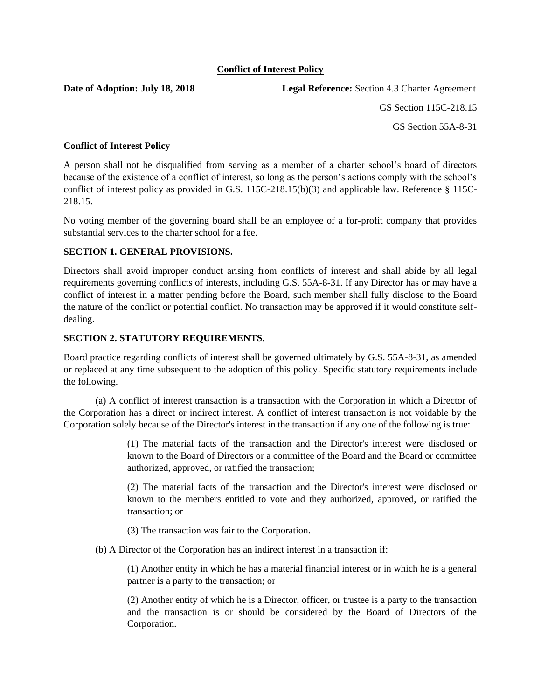# **Conflict of Interest Policy**

**Date of Adoption: July 18, 2018** Legal Reference: Section 4.3 Charter Agreement

GS Section 115C-218.15

GS Section 55A-8-31

## **Conflict of Interest Policy**

A person shall not be disqualified from serving as a member of a charter school's board of directors because of the existence of a conflict of interest, so long as the person's actions comply with the school's conflict of interest policy as provided in G.S. 115C-218.15(b)(3) and applicable law. Reference § 115C-218.15.

No voting member of the governing board shall be an employee of a for-profit company that provides substantial services to the charter school for a fee.

## **SECTION 1. GENERAL PROVISIONS.**

Directors shall avoid improper conduct arising from conflicts of interest and shall abide by all legal requirements governing conflicts of interests, including G.S. 55A-8-31. If any Director has or may have a conflict of interest in a matter pending before the Board, such member shall fully disclose to the Board the nature of the conflict or potential conflict. No transaction may be approved if it would constitute selfdealing.

# **SECTION 2. STATUTORY REQUIREMENTS**.

Board practice regarding conflicts of interest shall be governed ultimately by G.S. 55A-8-31, as amended or replaced at any time subsequent to the adoption of this policy. Specific statutory requirements include the following.

(a) A conflict of interest transaction is a transaction with the Corporation in which a Director of the Corporation has a direct or indirect interest. A conflict of interest transaction is not voidable by the Corporation solely because of the Director's interest in the transaction if any one of the following is true:

> (1) The material facts of the transaction and the Director's interest were disclosed or known to the Board of Directors or a committee of the Board and the Board or committee authorized, approved, or ratified the transaction;

> (2) The material facts of the transaction and the Director's interest were disclosed or known to the members entitled to vote and they authorized, approved, or ratified the transaction; or

(3) The transaction was fair to the Corporation.

(b) A Director of the Corporation has an indirect interest in a transaction if:

(1) Another entity in which he has a material financial interest or in which he is a general partner is a party to the transaction; or

(2) Another entity of which he is a Director, officer, or trustee is a party to the transaction and the transaction is or should be considered by the Board of Directors of the Corporation.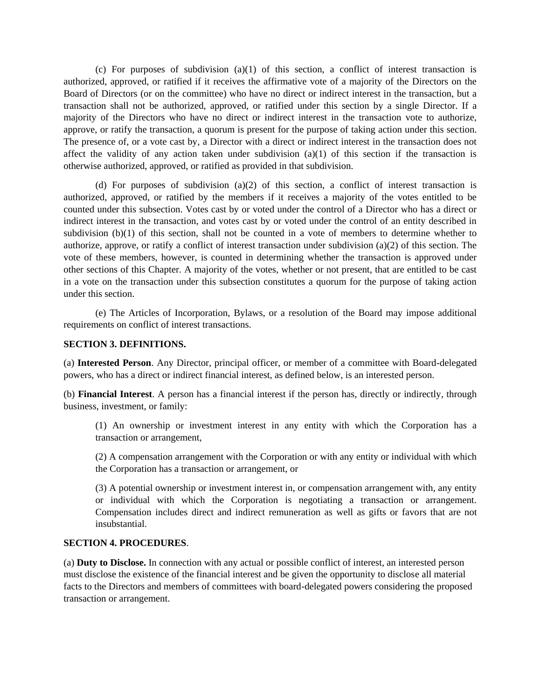(c) For purposes of subdivision (a)(1) of this section, a conflict of interest transaction is authorized, approved, or ratified if it receives the affirmative vote of a majority of the Directors on the Board of Directors (or on the committee) who have no direct or indirect interest in the transaction, but a transaction shall not be authorized, approved, or ratified under this section by a single Director. If a majority of the Directors who have no direct or indirect interest in the transaction vote to authorize, approve, or ratify the transaction, a quorum is present for the purpose of taking action under this section. The presence of, or a vote cast by, a Director with a direct or indirect interest in the transaction does not affect the validity of any action taken under subdivision  $(a)(1)$  of this section if the transaction is otherwise authorized, approved, or ratified as provided in that subdivision.

(d) For purposes of subdivision (a)(2) of this section, a conflict of interest transaction is authorized, approved, or ratified by the members if it receives a majority of the votes entitled to be counted under this subsection. Votes cast by or voted under the control of a Director who has a direct or indirect interest in the transaction, and votes cast by or voted under the control of an entity described in subdivision (b)(1) of this section, shall not be counted in a vote of members to determine whether to authorize, approve, or ratify a conflict of interest transaction under subdivision (a)(2) of this section. The vote of these members, however, is counted in determining whether the transaction is approved under other sections of this Chapter. A majority of the votes, whether or not present, that are entitled to be cast in a vote on the transaction under this subsection constitutes a quorum for the purpose of taking action under this section.

(e) The Articles of Incorporation, Bylaws, or a resolution of the Board may impose additional requirements on conflict of interest transactions.

#### **SECTION 3. DEFINITIONS.**

(a) **Interested Person**. Any Director, principal officer, or member of a committee with Board-delegated powers, who has a direct or indirect financial interest, as defined below, is an interested person.

(b) **Financial Interest**. A person has a financial interest if the person has, directly or indirectly, through business, investment, or family:

(1) An ownership or investment interest in any entity with which the Corporation has a transaction or arrangement,

(2) A compensation arrangement with the Corporation or with any entity or individual with which the Corporation has a transaction or arrangement, or

(3) A potential ownership or investment interest in, or compensation arrangement with, any entity or individual with which the Corporation is negotiating a transaction or arrangement. Compensation includes direct and indirect remuneration as well as gifts or favors that are not insubstantial.

#### **SECTION 4. PROCEDURES**.

(a) **Duty to Disclose.** In connection with any actual or possible conflict of interest, an interested person must disclose the existence of the financial interest and be given the opportunity to disclose all material facts to the Directors and members of committees with board-delegated powers considering the proposed transaction or arrangement.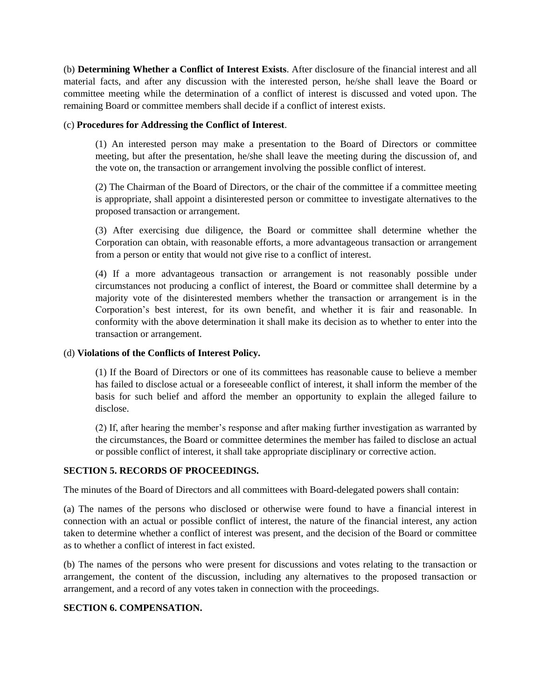(b) **Determining Whether a Conflict of Interest Exists**. After disclosure of the financial interest and all material facts, and after any discussion with the interested person, he/she shall leave the Board or committee meeting while the determination of a conflict of interest is discussed and voted upon. The remaining Board or committee members shall decide if a conflict of interest exists.

#### (c) **Procedures for Addressing the Conflict of Interest**.

(1) An interested person may make a presentation to the Board of Directors or committee meeting, but after the presentation, he/she shall leave the meeting during the discussion of, and the vote on, the transaction or arrangement involving the possible conflict of interest.

(2) The Chairman of the Board of Directors, or the chair of the committee if a committee meeting is appropriate, shall appoint a disinterested person or committee to investigate alternatives to the proposed transaction or arrangement.

(3) After exercising due diligence, the Board or committee shall determine whether the Corporation can obtain, with reasonable efforts, a more advantageous transaction or arrangement from a person or entity that would not give rise to a conflict of interest.

(4) If a more advantageous transaction or arrangement is not reasonably possible under circumstances not producing a conflict of interest, the Board or committee shall determine by a majority vote of the disinterested members whether the transaction or arrangement is in the Corporation's best interest, for its own benefit, and whether it is fair and reasonable. In conformity with the above determination it shall make its decision as to whether to enter into the transaction or arrangement.

## (d) **Violations of the Conflicts of Interest Policy.**

(1) If the Board of Directors or one of its committees has reasonable cause to believe a member has failed to disclose actual or a foreseeable conflict of interest, it shall inform the member of the basis for such belief and afford the member an opportunity to explain the alleged failure to disclose.

(2) If, after hearing the member's response and after making further investigation as warranted by the circumstances, the Board or committee determines the member has failed to disclose an actual or possible conflict of interest, it shall take appropriate disciplinary or corrective action.

## **SECTION 5. RECORDS OF PROCEEDINGS.**

The minutes of the Board of Directors and all committees with Board-delegated powers shall contain:

(a) The names of the persons who disclosed or otherwise were found to have a financial interest in connection with an actual or possible conflict of interest, the nature of the financial interest, any action taken to determine whether a conflict of interest was present, and the decision of the Board or committee as to whether a conflict of interest in fact existed.

(b) The names of the persons who were present for discussions and votes relating to the transaction or arrangement, the content of the discussion, including any alternatives to the proposed transaction or arrangement, and a record of any votes taken in connection with the proceedings.

## **SECTION 6. COMPENSATION.**